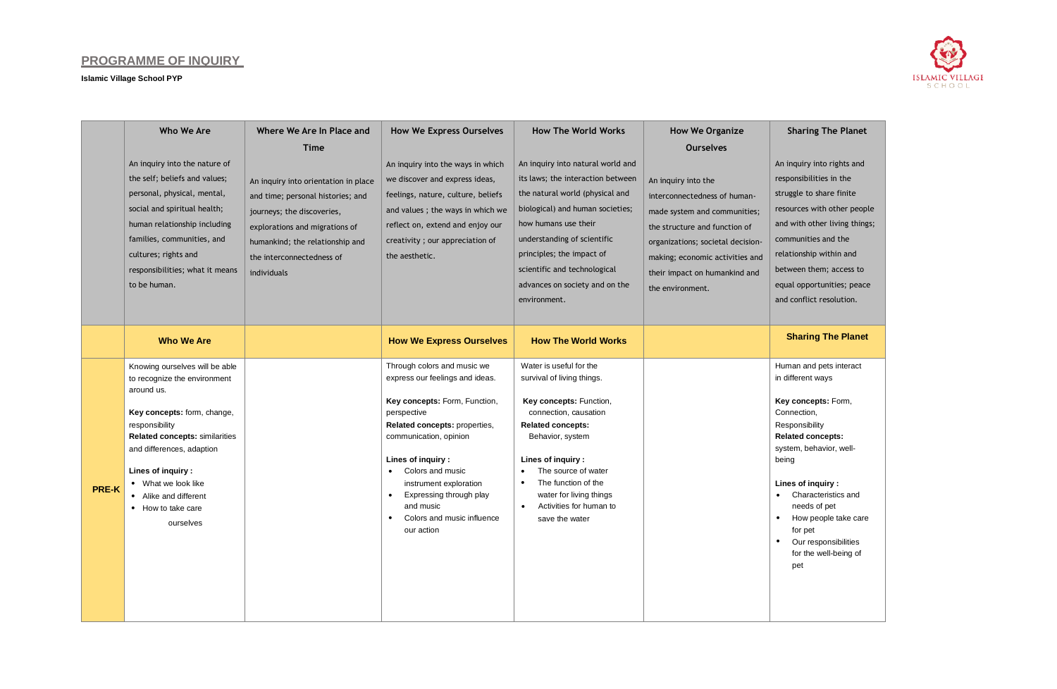## **PROGRAMME OF INQUIRY**

**Islamic Village School PYP**



|              | Who We Are                                                     | Where We Are In Place and            | <b>How We Express Ourselves</b>                                | <b>How The World Works</b>                            | <b>How We Organize</b>            | <b>Sharing The Planet</b>                         |
|--------------|----------------------------------------------------------------|--------------------------------------|----------------------------------------------------------------|-------------------------------------------------------|-----------------------------------|---------------------------------------------------|
|              |                                                                | <b>Time</b>                          |                                                                |                                                       | <b>Ourselves</b>                  |                                                   |
|              | An inquiry into the nature of                                  |                                      | An inquiry into the ways in which                              | An inquiry into natural world and                     |                                   | An inquiry into rights and                        |
|              | the self; beliefs and values;                                  | An inquiry into orientation in place | we discover and express ideas,                                 | its laws; the interaction between                     | An inquiry into the               | responsibilities in the                           |
|              | personal, physical, mental,                                    | and time; personal histories; and    | feelings, nature, culture, beliefs                             | the natural world (physical and                       | interconnectedness of human-      | struggle to share finite                          |
|              | social and spiritual health;                                   | journeys; the discoveries,           | and values; the ways in which we                               | biological) and human societies;                      | made system and communities;      | resources with other people                       |
|              | human relationship including                                   | explorations and migrations of       | reflect on, extend and enjoy our                               | how humans use their                                  | the structure and function of     | and with other living things;                     |
|              | families, communities, and                                     | humankind; the relationship and      | creativity; our appreciation of                                | understanding of scientific                           | organizations; societal decision- | communities and the                               |
|              | cultures; rights and                                           | the interconnectedness of            | the aesthetic.                                                 | principles; the impact of                             | making; economic activities and   | relationship within and                           |
|              | responsibilities; what it means                                | individuals                          |                                                                | scientific and technological                          | their impact on humankind and     | between them; access to                           |
|              | to be human.                                                   |                                      |                                                                | advances on society and on the                        | the environment.                  | equal opportunities; peace                        |
|              |                                                                |                                      |                                                                | environment.                                          |                                   | and conflict resolution.                          |
|              |                                                                |                                      |                                                                |                                                       |                                   |                                                   |
|              | <b>Who We Are</b>                                              |                                      | <b>How We Express Ourselves</b>                                | <b>How The World Works</b>                            |                                   | <b>Sharing The Planet</b>                         |
|              |                                                                |                                      |                                                                |                                                       |                                   |                                                   |
|              | Knowing ourselves will be able<br>to recognize the environment |                                      | Through colors and music we<br>express our feelings and ideas. | Water is useful for the<br>survival of living things. |                                   | Human and pets interact<br>in different ways      |
|              | around us.                                                     |                                      |                                                                |                                                       |                                   |                                                   |
|              |                                                                |                                      | Key concepts: Form, Function,                                  | Key concepts: Function,                               |                                   | Key concepts: Form,                               |
|              | Key concepts: form, change,<br>responsibility                  |                                      | perspective<br>Related concepts: properties,                   | connection, causation<br><b>Related concepts:</b>     |                                   | Connection,<br>Responsibility                     |
|              | Related concepts: similarities                                 |                                      | communication, opinion                                         | Behavior, system                                      |                                   | <b>Related concepts:</b>                          |
|              | and differences, adaption                                      |                                      |                                                                |                                                       |                                   | system, behavior, well-                           |
|              | Lines of inquiry:                                              |                                      | Lines of inquiry :<br>Colors and music                         | Lines of inquiry :<br>The source of water             |                                   | being                                             |
|              | What we look like                                              |                                      | instrument exploration                                         | The function of the<br>$\bullet$                      |                                   | Lines of inquiry :                                |
| <b>PRE-K</b> | • Alike and different                                          |                                      | Expressing through play<br>$\bullet$                           | water for living things                               |                                   | Characteristics and                               |
|              | • How to take care                                             |                                      | and music<br>Colors and music influence                        | Activities for human to<br>save the water             |                                   | needs of pet<br>How people take care<br>$\bullet$ |
|              | ourselves                                                      |                                      | our action                                                     |                                                       |                                   | for pet                                           |
|              |                                                                |                                      |                                                                |                                                       |                                   | Our responsibilities<br>$\bullet$                 |
|              |                                                                |                                      |                                                                |                                                       |                                   | for the well-being of                             |
|              |                                                                |                                      |                                                                |                                                       |                                   | pet                                               |
|              |                                                                |                                      |                                                                |                                                       |                                   |                                                   |
|              |                                                                |                                      |                                                                |                                                       |                                   |                                                   |
|              |                                                                |                                      |                                                                |                                                       |                                   |                                                   |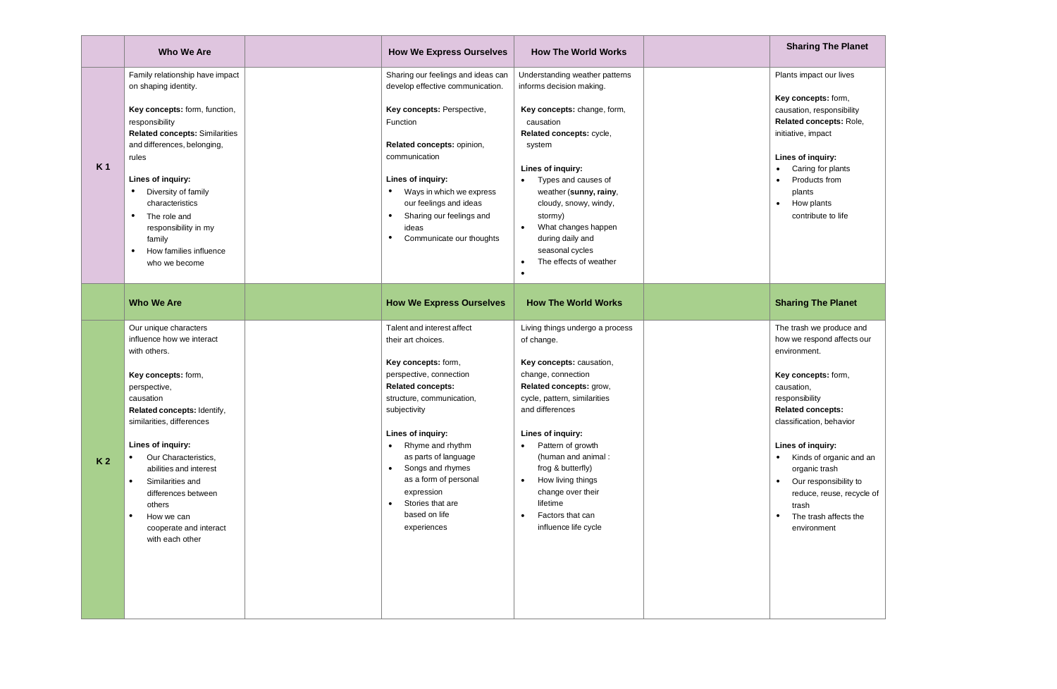|                | Who We Are                                                                                                                                                                                                                                                                                                                                                                 | <b>How We Express Ourselves</b>                                                                                                                                                                                                                                                                                          | <b>How The World Works</b>                                                                                                                                                                                                                                                                                                                                               | <b>Sharing The Planet</b>                                                                                                                                                                                                                                                    |
|----------------|----------------------------------------------------------------------------------------------------------------------------------------------------------------------------------------------------------------------------------------------------------------------------------------------------------------------------------------------------------------------------|--------------------------------------------------------------------------------------------------------------------------------------------------------------------------------------------------------------------------------------------------------------------------------------------------------------------------|--------------------------------------------------------------------------------------------------------------------------------------------------------------------------------------------------------------------------------------------------------------------------------------------------------------------------------------------------------------------------|------------------------------------------------------------------------------------------------------------------------------------------------------------------------------------------------------------------------------------------------------------------------------|
| K <sub>1</sub> | Family relationship have impact<br>on shaping identity.<br>Key concepts: form, function,<br>responsibility<br>Related concepts: Similarities<br>and differences, belonging,<br>rules<br>Lines of inquiry:<br>Diversity of family<br>characteristics<br>The role and<br>$\bullet$<br>responsibility in my<br>family<br>How families influence<br>$\bullet$<br>who we become | Sharing our feelings and ideas can<br>develop effective communication.<br>Key concepts: Perspective,<br>Function<br>Related concepts: opinion,<br>communication<br>Lines of inquiry:<br>Ways in which we express<br>our feelings and ideas<br>Sharing our feelings and<br>$\bullet$<br>ideas<br>Communicate our thoughts | Understanding weather patterns<br>informs decision making.<br>Key concepts: change, form,<br>causation<br>Related concepts: cycle,<br>system<br>Lines of inquiry:<br>Types and causes of<br>$\bullet$<br>weather (sunny, rainy,<br>cloudy, snowy, windy,<br>stormy)<br>What changes happen<br>$\bullet$<br>during daily and<br>seasonal cycles<br>The effects of weather | Plants impact our lives<br>Key concepts: form,<br>causation, responsibility<br>Related concepts: Role,<br>initiative, impact<br>Lines of inquiry:<br>Caring for plants<br>$\bullet$<br>Products from<br>$\bullet$<br>plants<br>How plants<br>$\bullet$<br>contribute to life |
|                | <b>Who We Are</b><br>Our unique characters<br>influence how we interact<br>with others.                                                                                                                                                                                                                                                                                    | <b>How We Express Ourselves</b><br>Talent and interest affect<br>their art choices.                                                                                                                                                                                                                                      | <b>How The World Works</b><br>Living things undergo a process<br>of change.                                                                                                                                                                                                                                                                                              | <b>Sharing The Planet</b><br>The trash we produce and<br>how we respond affects our<br>environment.                                                                                                                                                                          |
| K <sub>2</sub> | Key concepts: form,<br>perspective,<br>causation<br>Related concepts: Identify,<br>similarities, differences<br>Lines of inquiry:<br>Our Characteristics,<br>abilities and interest<br>Similarities and<br>differences between<br>others                                                                                                                                   | Key concepts: form,<br>perspective, connection<br><b>Related concepts:</b><br>structure, communication,<br>subjectivity<br>Lines of inquiry:<br>Rhyme and rhythm<br>as parts of language<br>Songs and rhymes<br>$\bullet$<br>as a form of personal<br>expression<br>Stories that are<br>$\bullet$                        | Key concepts: causation,<br>change, connection<br>Related concepts: grow,<br>cycle, pattern, similarities<br>and differences<br>Lines of inquiry:<br>Pattern of growth<br>(human and animal:<br>frog & butterfly)<br>How living things<br>$\bullet$<br>change over their<br>lifetime                                                                                     | Key concepts: form,<br>causation,<br>responsibility<br><b>Related concepts:</b><br>classification, behavior<br>Lines of inquiry:<br>Kinds of organic and an<br>$\bullet$<br>organic trash<br>Our responsibility to<br>reduce, reuse, recycle of<br>trash                     |
|                | $\bullet$<br>How we can<br>cooperate and interact<br>with each other                                                                                                                                                                                                                                                                                                       | based on life<br>experiences                                                                                                                                                                                                                                                                                             | Factors that can<br>$\bullet$<br>influence life cycle                                                                                                                                                                                                                                                                                                                    | The trash affects the<br>$\bullet$<br>environment                                                                                                                                                                                                                            |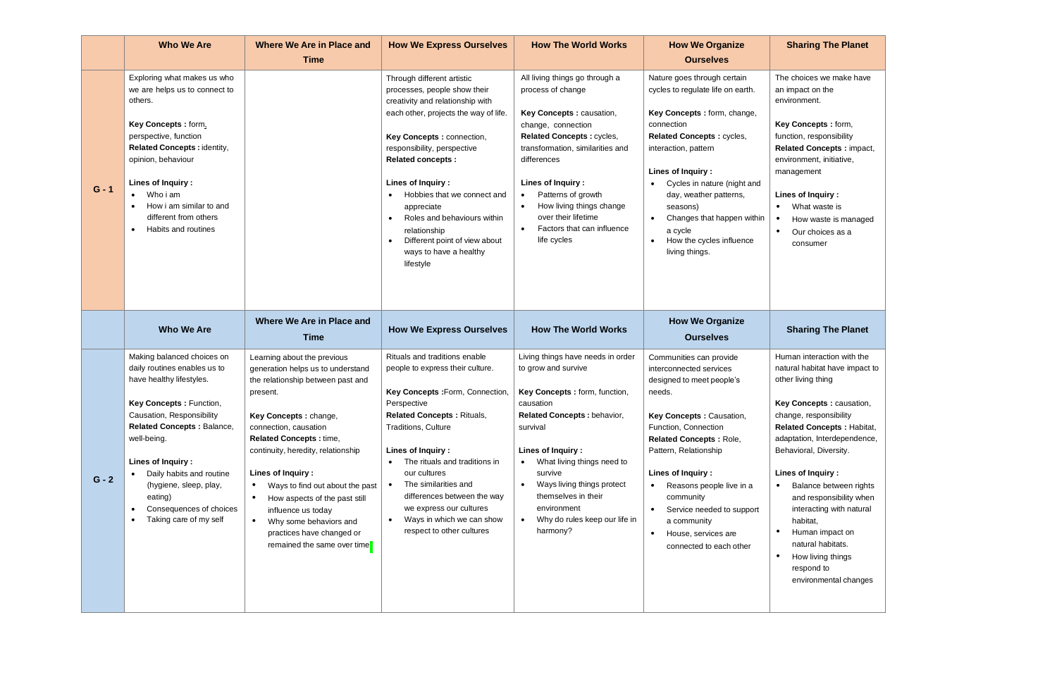|         | <b>Who We Are</b>                                                                                                                                                                                                                                                                                                                                                       | <b>Where We Are in Place and</b><br><b>Time</b>                                                                                                                                                                                                                                                                                                                                                                                                                             | <b>How We Express Ourselves</b>                                                                                                                                                                                                                                                                                                                                                                                                                    | <b>How The World Works</b>                                                                                                                                                                                                                                                                                                                                   | <b>How We Organize</b><br><b>Ourselves</b>                                                                                                                                                                                                                                                                                                                                                 | <b>Sharing The Planet</b>                                                                                                                                                                                                                                                                                                                                                                                                                                      |
|---------|-------------------------------------------------------------------------------------------------------------------------------------------------------------------------------------------------------------------------------------------------------------------------------------------------------------------------------------------------------------------------|-----------------------------------------------------------------------------------------------------------------------------------------------------------------------------------------------------------------------------------------------------------------------------------------------------------------------------------------------------------------------------------------------------------------------------------------------------------------------------|----------------------------------------------------------------------------------------------------------------------------------------------------------------------------------------------------------------------------------------------------------------------------------------------------------------------------------------------------------------------------------------------------------------------------------------------------|--------------------------------------------------------------------------------------------------------------------------------------------------------------------------------------------------------------------------------------------------------------------------------------------------------------------------------------------------------------|--------------------------------------------------------------------------------------------------------------------------------------------------------------------------------------------------------------------------------------------------------------------------------------------------------------------------------------------------------------------------------------------|----------------------------------------------------------------------------------------------------------------------------------------------------------------------------------------------------------------------------------------------------------------------------------------------------------------------------------------------------------------------------------------------------------------------------------------------------------------|
| $G - 1$ | Exploring what makes us who<br>we are helps us to connect to<br>others.<br>Key Concepts: form,<br>perspective, function<br>Related Concepts : identity,<br>opinion, behaviour<br>Lines of Inquiry:<br>Who i am<br>How i am similar to and<br>different from others<br>Habits and routines                                                                               |                                                                                                                                                                                                                                                                                                                                                                                                                                                                             | Through different artistic<br>processes, people show their<br>creativity and relationship with<br>each other, projects the way of life.<br>Key Concepts: connection,<br>responsibility, perspective<br><b>Related concepts:</b><br>Lines of Inquiry:<br>Hobbies that we connect and<br>appreciate<br>Roles and behaviours within<br>$\bullet$<br>relationship<br>Different point of view about<br>$\bullet$<br>ways to have a healthy<br>lifestyle | All living things go through a<br>process of change<br>Key Concepts : causation,<br>change, connection<br>Related Concepts : cycles,<br>transformation, similarities and<br>differences<br>Lines of Inquiry:<br>Patterns of growth<br>How living things change<br>$\bullet$<br>over their lifetime<br>Factors that can influence<br>$\bullet$<br>life cycles | Nature goes through certain<br>cycles to regulate life on earth.<br>Key Concepts: form, change,<br>connection<br>Related Concepts: cycles,<br>interaction, pattern<br>Lines of Inquiry:<br>Cycles in nature (night and<br>$\bullet$<br>day, weather patterns,<br>seasons)<br>Changes that happen within<br>$\bullet$<br>a cycle<br>How the cycles influence<br>$\bullet$<br>living things. | The choices we make have<br>an impact on the<br>environment.<br>Key Concepts : form,<br>function, responsibility<br>Related Concepts: impact,<br>environment, initiative,<br>management<br>Lines of Inquiry:<br>What waste is<br>How waste is managed<br>Our choices as a<br>$\bullet$<br>consumer                                                                                                                                                             |
|         | <b>Who We Are</b>                                                                                                                                                                                                                                                                                                                                                       | Where We Are in Place and<br>Time                                                                                                                                                                                                                                                                                                                                                                                                                                           | <b>How We Express Ourselves</b>                                                                                                                                                                                                                                                                                                                                                                                                                    | <b>How The World Works</b>                                                                                                                                                                                                                                                                                                                                   | <b>How We Organize</b><br><b>Ourselves</b>                                                                                                                                                                                                                                                                                                                                                 | <b>Sharing The Planet</b>                                                                                                                                                                                                                                                                                                                                                                                                                                      |
| $G - 2$ | Making balanced choices on<br>daily routines enables us to<br>have healthy lifestyles.<br>Key Concepts: Function,<br>Causation, Responsibility<br><b>Related Concepts: Balance,</b><br>well-being.<br>Lines of Inquiry:<br>Daily habits and routine<br>(hygiene, sleep, play,<br>eating)<br>Consequences of choices<br>$\bullet$<br>Taking care of my self<br>$\bullet$ | Learning about the previous<br>generation helps us to understand<br>the relationship between past and<br>present.<br>Key Concepts : change,<br>connection, causation<br><b>Related Concepts:</b> time,<br>continuity, heredity, relationship<br>Lines of Inquiry:<br>Ways to find out about the past<br>$\bullet$<br>How aspects of the past still<br>influence us today<br>$\bullet$<br>Why some behaviors and<br>practices have changed or<br>remained the same over time | Rituals and traditions enable<br>people to express their culture.<br>Key Concepts : Form, Connection,<br>Perspective<br><b>Related Concepts: Rituals,</b><br><b>Traditions, Culture</b><br>Lines of Inquiry:<br>The rituals and traditions in<br>our cultures<br>The similarities and<br>$\bullet$<br>differences between the way<br>we express our cultures<br>Ways in which we can show<br>$\bullet$<br>respect to other cultures                | Living things have needs in order<br>to grow and survive<br>Key Concepts : form, function,<br>causation<br>Related Concepts : behavior,<br>survival<br>Lines of Inquiry:<br>What living things need to<br>$\bullet$<br>survive<br>Ways living things protect<br>$\bullet$<br>themselves in their<br>environment<br>Why do rules keep our life in<br>harmony? | Communities can provide<br>interconnected services<br>designed to meet people's<br>needs.<br>Key Concepts: Causation,<br>Function, Connection<br>Related Concepts: Role,<br>Pattern, Relationship<br>Lines of Inquiry:<br>$\bullet$<br>Reasons people live in a<br>community<br>$\bullet$<br>Service needed to support<br>a community<br>House, services are<br>connected to each other    | Human interaction with the<br>natural habitat have impact to<br>other living thing<br>Key Concepts : causation,<br>change, responsibility<br><b>Related Concepts: Habitat,</b><br>adaptation, Interdependence,<br>Behavioral, Diversity.<br>Lines of Inquiry:<br>Balance between rights<br>and responsibility when<br>interacting with natural<br>habitat,<br>Human impact on<br>natural habitats.<br>How living things<br>respond to<br>environmental changes |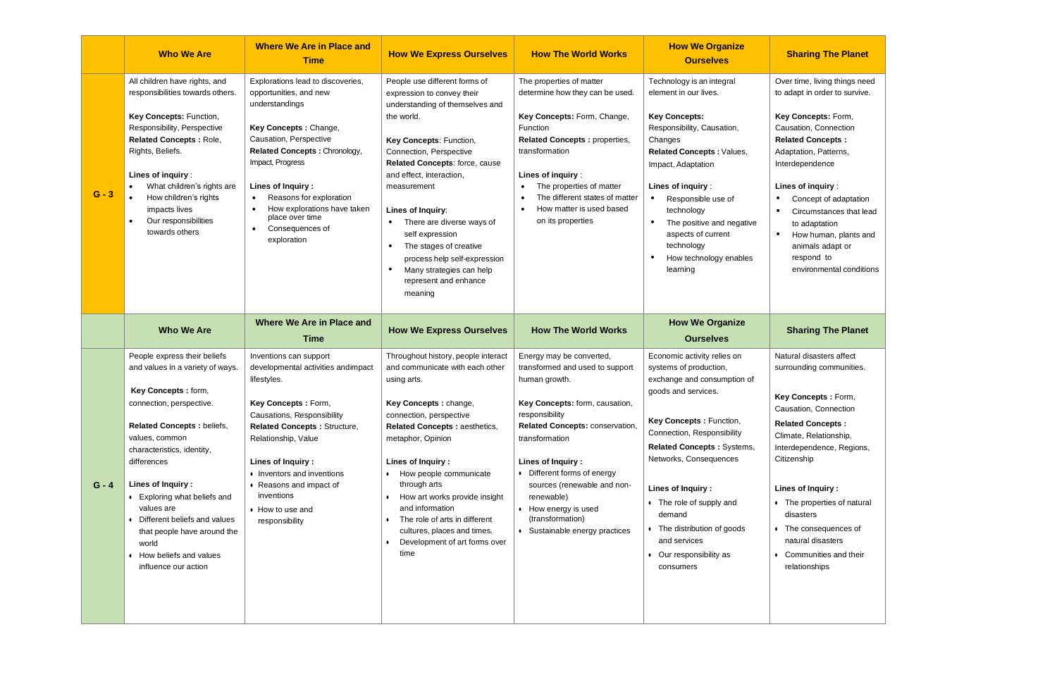|         | <b>Who We Are</b>                                                                                                                                                                                                                                                                                                                                                                                                  | <b>Where We Are in Place and</b><br><b>Time</b>                                                                                                                                                                                                                                                                                         | <b>How We Express Ourselves</b>                                                                                                                                                                                                                                                                                                                                                                                                                                                       | <b>How The World Works</b>                                                                                                                                                                                                                                                                                                                                           | <b>How We Organize</b><br><b>Ourselves</b>                                                                                                                                                                                                                                                                                                                                            | <b>Sharing The Planet</b>                                                                                                                                                                                                                                                                                                                                                            |
|---------|--------------------------------------------------------------------------------------------------------------------------------------------------------------------------------------------------------------------------------------------------------------------------------------------------------------------------------------------------------------------------------------------------------------------|-----------------------------------------------------------------------------------------------------------------------------------------------------------------------------------------------------------------------------------------------------------------------------------------------------------------------------------------|---------------------------------------------------------------------------------------------------------------------------------------------------------------------------------------------------------------------------------------------------------------------------------------------------------------------------------------------------------------------------------------------------------------------------------------------------------------------------------------|----------------------------------------------------------------------------------------------------------------------------------------------------------------------------------------------------------------------------------------------------------------------------------------------------------------------------------------------------------------------|---------------------------------------------------------------------------------------------------------------------------------------------------------------------------------------------------------------------------------------------------------------------------------------------------------------------------------------------------------------------------------------|--------------------------------------------------------------------------------------------------------------------------------------------------------------------------------------------------------------------------------------------------------------------------------------------------------------------------------------------------------------------------------------|
| $G - 3$ | All children have rights, and<br>responsibilities towards others.<br>Key Concepts: Function,<br>Responsibility, Perspective<br><b>Related Concepts: Role,</b><br>Rights, Beliefs.<br>Lines of inquiry:<br>What children's rights are<br>How children's rights<br>impacts lives<br>Our responsibilities<br>$\bullet$<br>towards others                                                                              | Explorations lead to discoveries,<br>opportunities, and new<br>understandings<br>Key Concepts: Change,<br>Causation, Perspective<br>Related Concepts : Chronology,<br>Impact, Progress<br>Lines of Inquiry:<br>Reasons for exploration<br>How explorations have taken<br>place over time<br>Consequences of<br>$\bullet$<br>exploration | People use different forms of<br>expression to convey their<br>understanding of themselves and<br>the world.<br>Key Concepts: Function,<br>Connection, Perspective<br>Related Concepts: force, cause<br>and effect, interaction,<br>measurement<br>Lines of Inquiry:<br>There are diverse ways of<br>$\bullet$<br>self expression<br>$\bullet$<br>The stages of creative<br>process help self-expression<br>$\bullet$<br>Many strategies can help<br>represent and enhance<br>meaning | The properties of matter<br>determine how they can be used.<br>Key Concepts: Form, Change,<br>Function<br>Related Concepts : properties,<br>transformation<br>Lines of inquiry:<br>The properties of matter<br>The different states of matter<br>How matter is used based<br>on its properties                                                                       | Technology is an integral<br>element in our lives.<br><b>Key Concepts:</b><br>Responsibility, Causation,<br>Changes<br>Related Concepts: Values,<br>Impact, Adaptation<br>Lines of inquiry:<br>$\bullet$<br>Responsible use of<br>technology<br>$\bullet$<br>The positive and negative<br>aspects of current<br>technology<br>How technology enables<br>learning                      | Over time, living things need<br>to adapt in order to survive.<br>Key Concepts: Form,<br>Causation, Connection<br><b>Related Concepts:</b><br>Adaptation, Patterns,<br>Interdependence<br>Lines of inquiry:<br>Concept of adaptation<br>Circumstances that lead<br>to adaptation<br>$\bullet$<br>How human, plants and<br>animals adapt or<br>respond to<br>environmental conditions |
|         | <b>Who We Are</b>                                                                                                                                                                                                                                                                                                                                                                                                  | Where We Are in Place and<br><b>Time</b>                                                                                                                                                                                                                                                                                                | <b>How We Express Ourselves</b>                                                                                                                                                                                                                                                                                                                                                                                                                                                       | <b>How The World Works</b>                                                                                                                                                                                                                                                                                                                                           | <b>How We Organize</b><br><b>Ourselves</b>                                                                                                                                                                                                                                                                                                                                            | <b>Sharing The Planet</b>                                                                                                                                                                                                                                                                                                                                                            |
| $G - 4$ | People express their beliefs<br>and values in a variety of ways.<br>Key Concepts: form,<br>connection, perspective.<br>Related Concepts : beliefs,<br>values, common<br>characteristics, identity,<br>differences<br>Lines of Inquiry:<br>• Exploring what beliefs and<br>values are<br>• Different beliefs and values<br>that people have around the<br>world<br>• How beliefs and values<br>influence our action | Inventions can support<br>developmental activities andimpact<br>lifestyles.<br>Key Concepts: Form,<br>Causations, Responsibility<br><b>Related Concepts: Structure,</b><br>Relationship, Value<br>Lines of Inquiry:<br>• Inventors and inventions<br>• Reasons and impact of<br>inventions<br>• How to use and<br>responsibility        | Throughout history, people interact<br>and communicate with each other<br>using arts.<br>Key Concepts : change,<br>connection, perspective<br>Related Concepts : aesthetics,<br>metaphor, Opinion<br>Lines of Inquiry:<br>How people communicate<br>through arts<br>How art works provide insight<br>and information<br>The role of arts in different<br>cultures, places and times.<br>Development of art forms over<br>$\bullet$<br>time                                            | Energy may be converted,<br>transformed and used to support<br>human growth.<br>Key Concepts: form, causation,<br>responsibility<br>Related Concepts: conservation,<br>transformation<br>Lines of Inquiry:<br>• Different forms of energy<br>sources (renewable and non-<br>renewable)<br>• How energy is used<br>(transformation)<br>• Sustainable energy practices | Economic activity relies on<br>systems of production,<br>exchange and consumption of<br>goods and services.<br>Key Concepts: Function,<br>Connection, Responsibility<br><b>Related Concepts: Systems,</b><br>Networks, Consequences<br>Lines of Inquiry:<br>• The role of supply and<br>demand<br>• The distribution of goods<br>and services<br>• Our responsibility as<br>consumers | Natural disasters affect<br>surrounding communities.<br>Key Concepts: Form,<br>Causation, Connection<br><b>Related Concepts:</b><br>Climate, Relationship,<br>Interdependence, Regions,<br>Citizenship<br>Lines of Inquiry:<br>• The properties of natural<br>disasters<br>• The consequences of<br>natural disasters<br>• Communities and their<br>relationships                    |